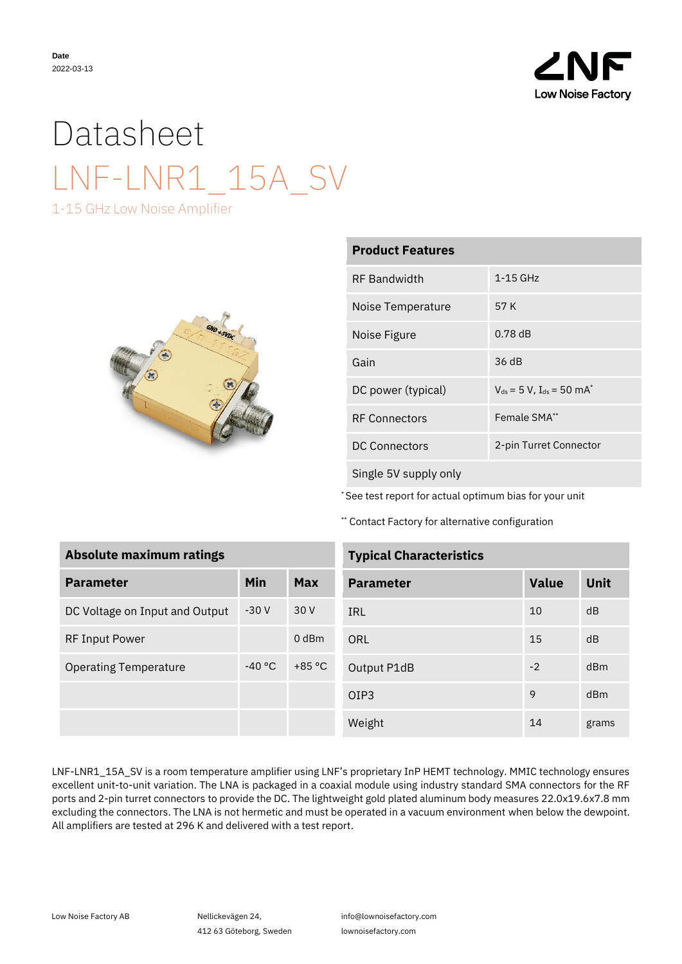

## Datasheet LNF-LNR1\_15A\_SV

1-15 GHz Low Noise Amplifier



| <b>Product Features</b> |                                                      |  |  |
|-------------------------|------------------------------------------------------|--|--|
| <b>RF</b> Bandwidth     | 1-15 GHz                                             |  |  |
| Noise Temperature       | 57 K                                                 |  |  |
| Noise Figure            | 0.78dB                                               |  |  |
| Gain                    | 36 dB                                                |  |  |
| DC power (typical)      | $V_{ds}$ = 5 V, I <sub>ds</sub> = 50 mA <sup>*</sup> |  |  |
| <b>RF Connectors</b>    | Female SMA**                                         |  |  |
| <b>DC Connectors</b>    | 2-pin Turret Connector                               |  |  |
| Single 5V supply only   |                                                      |  |  |

\* See test report for actual optimum bias for your unit

\*\* Contact Factory for alternative configuration

| <b>Absolute maximum ratings</b> |          |          |  |  |
|---------------------------------|----------|----------|--|--|
| <b>Parameter</b>                | Min      | Max      |  |  |
| DC Voltage on Input and Output  | $-30V$   | 30 V     |  |  |
| <b>RF Input Power</b>           |          | $0$ dBm  |  |  |
| <b>Operating Temperature</b>    | $-40 °C$ | $+85 °C$ |  |  |
|                                 |          |          |  |  |
|                                 |          |          |  |  |

| <b>Typical Characteristics</b> |  |
|--------------------------------|--|
|                                |  |

| <b>Parameter</b> | <b>Value</b> | <b>Unit</b> |
|------------------|--------------|-------------|
| IRL              | 10           | dB          |
| ORL              | 15           | dB          |
| Output P1dB      | $-2$         | dBm         |
| OIP3             | 9            | dBm         |
| Weight           | 14           | grams       |

LNF-LNR1\_15A\_SV is a room temperature amplifier using LNF's proprietary InP HEMT technology. MMIC technology ensures excellent unit-to-unit variation. The LNA is packaged in a coaxial module using industry standard SMA connectors for the RF ports and 2-pin turret connectors to provide the DC. The lightweight gold plated aluminum body measures 22.0x19.6x7.8 mm excluding the connectors. The LNA is not hermetic and must be operated in a vacuum environment when below the dewpoint. All amplifiers are tested at 296 K and delivered with a test report.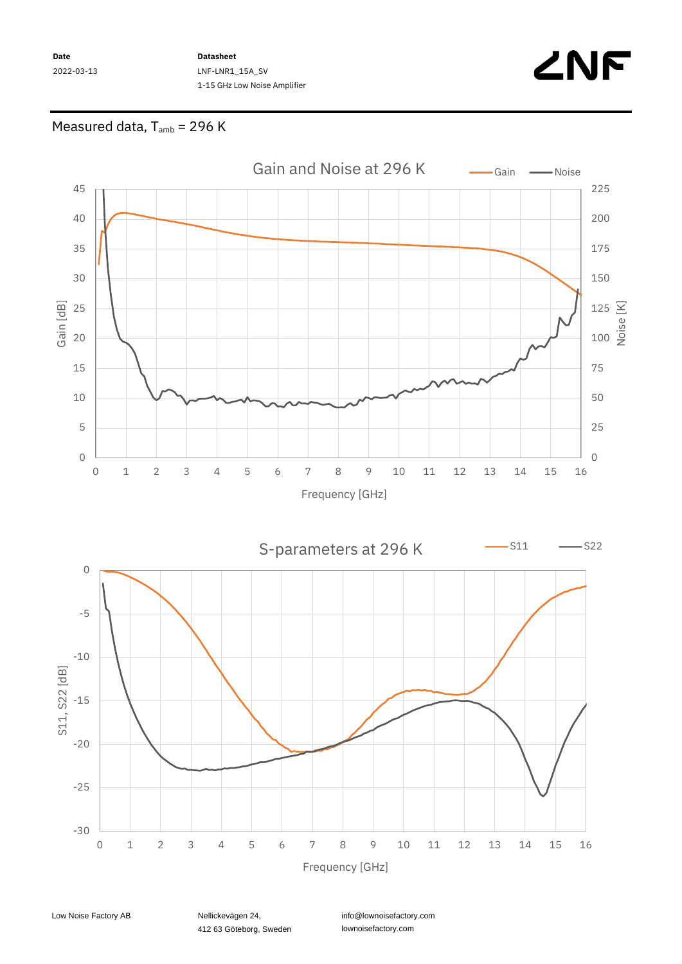**Date** 2022-03-13 **Datasheet** LNF-LNR1\_15A\_SV 1-15 GHz Low Noise Amplifier



## Measured data,  $T_{amb}$  = 296 K



412 63 Göteborg, Sweden

info@lownoisefactory.com lownoisefactory.com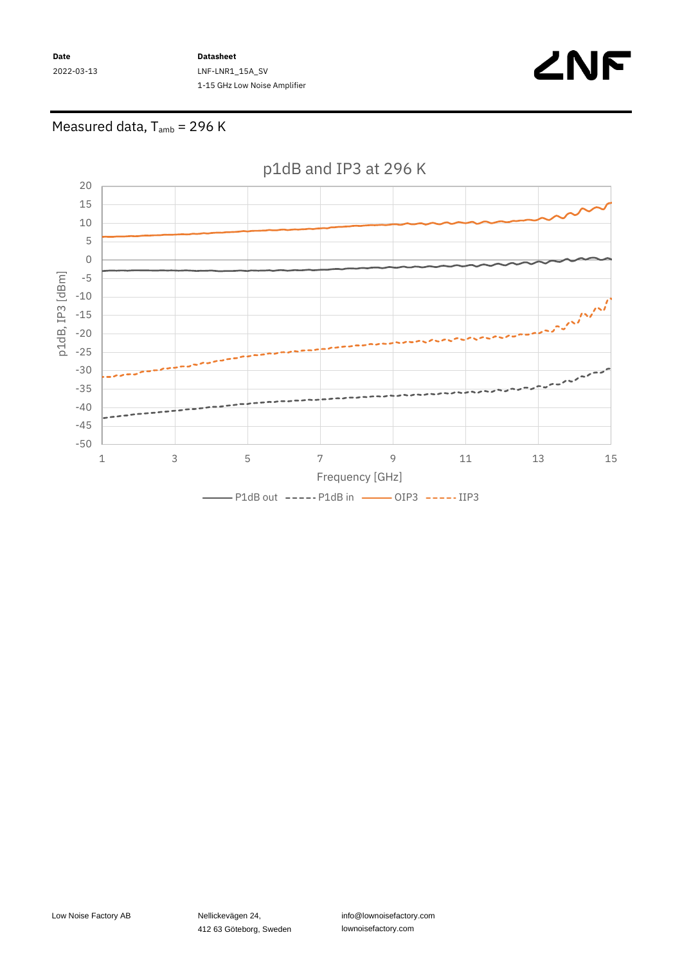**Date** 2022-03-13 **Datasheet** LNF-LNR1\_15A\_SV 1-15 GHz Low Noise Amplifier



## Measured data,  $T_{amb}$  = 296 K